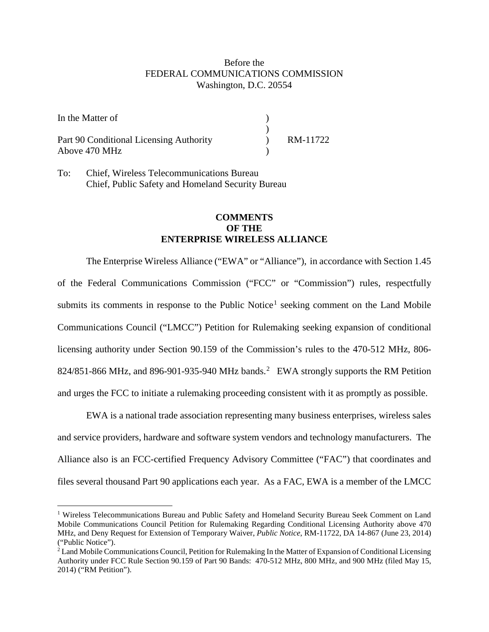## Before the FEDERAL COMMUNICATIONS COMMISSION Washington, D.C. 20554

| In the Matter of                                         |          |
|----------------------------------------------------------|----------|
| Part 90 Conditional Licensing Authority<br>Above 470 MHz | RM-11722 |

To: Chief, Wireless Telecommunications Bureau Chief, Public Safety and Homeland Security Bureau

 $\overline{a}$ 

## **COMMENTS OF THE ENTERPRISE WIRELESS ALLIANCE**

The Enterprise Wireless Alliance ("EWA" or "Alliance"), in accordance with Section 1.45 of the Federal Communications Commission ("FCC" or "Commission") rules, respectfully submits its comments in response to the Public Notice<sup>[1](#page-0-0)</sup> seeking comment on the Land Mobile Communications Council ("LMCC") Petition for Rulemaking seeking expansion of conditional licensing authority under Section 90.159 of the Commission's rules to the 470-512 MHz, 806- 8[2](#page-0-1)4/851-866 MHz, and 896-901-935-940 MHz bands.<sup>2</sup> EWA strongly supports the RM Petition and urges the FCC to initiate a rulemaking proceeding consistent with it as promptly as possible.

EWA is a national trade association representing many business enterprises, wireless sales and service providers, hardware and software system vendors and technology manufacturers. The Alliance also is an FCC-certified Frequency Advisory Committee ("FAC") that coordinates and files several thousand Part 90 applications each year. As a FAC, EWA is a member of the LMCC

<span id="page-0-0"></span><sup>&</sup>lt;sup>1</sup> Wireless Telecommunications Bureau and Public Safety and Homeland Security Bureau Seek Comment on Land Mobile Communications Council Petition for Rulemaking Regarding Conditional Licensing Authority above 470 MHz, and Deny Request for Extension of Temporary Waiver, *Public Notice*, RM-11722, DA 14-867 (June 23, 2014) ("Public Notice").

<span id="page-0-1"></span><sup>&</sup>lt;sup>2</sup> Land Mobile Communications Council, Petition for Rulemaking In the Matter of Expansion of Conditional Licensing Authority under FCC Rule Section 90.159 of Part 90 Bands: 470-512 MHz, 800 MHz, and 900 MHz (filed May 15, 2014) ("RM Petition").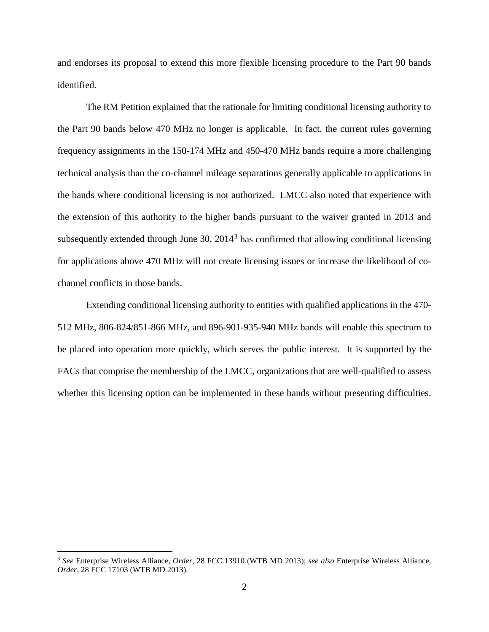and endorses its proposal to extend this more flexible licensing procedure to the Part 90 bands identified.

The RM Petition explained that the rationale for limiting conditional licensing authority to the Part 90 bands below 470 MHz no longer is applicable. In fact, the current rules governing frequency assignments in the 150-174 MHz and 450-470 MHz bands require a more challenging technical analysis than the co-channel mileage separations generally applicable to applications in the bands where conditional licensing is not authorized. LMCC also noted that experience with the extension of this authority to the higher bands pursuant to the waiver granted in 2013 and subsequently extended through June  $30$  $30$ ,  $2014<sup>3</sup>$  has confirmed that allowing conditional licensing for applications above 470 MHz will not create licensing issues or increase the likelihood of cochannel conflicts in those bands.

Extending conditional licensing authority to entities with qualified applications in the 470- 512 MHz, 806-824/851-866 MHz, and 896-901-935-940 MHz bands will enable this spectrum to be placed into operation more quickly, which serves the public interest. It is supported by the FACs that comprise the membership of the LMCC, organizations that are well-qualified to assess whether this licensing option can be implemented in these bands without presenting difficulties.

 $\overline{a}$ 

<span id="page-1-0"></span><sup>3</sup> *See* Enterprise Wireless Alliance, *Order*, 28 FCC 13910 (WTB MD 2013); *see also* Enterprise Wireless Alliance, *Order*, 28 FCC 17103 (WTB MD 2013).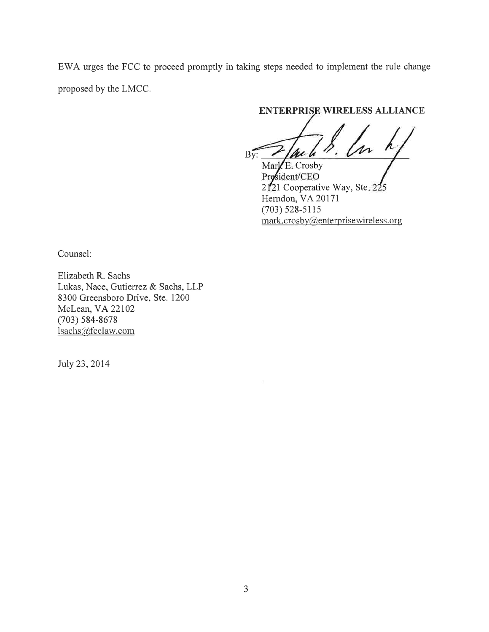EWA urges the FCC to proceed promptly in taking steps needed to implement the rule change proposed by the LMCC.

## **ENTERPRISE WIRELESS ALLIANCE**

 $B\overline{v}$ : Mark E. Crosby

Prosident/CEO 2121 Cooperative Way, Ste. 225 Herndon, VA 20171  $(703)$  528-5115  $mark.crosby@enterprisewireless.org$ 

Counsel:

Elizabeth R. Sachs Lukas, Nace, Gutierrez & Sachs, LLP 8300 Greensboro Drive, Ste. 1200 McLean, VA 22102  $(703) 584 - 8678$ Isachs@fcclaw.com

July 23, 2014